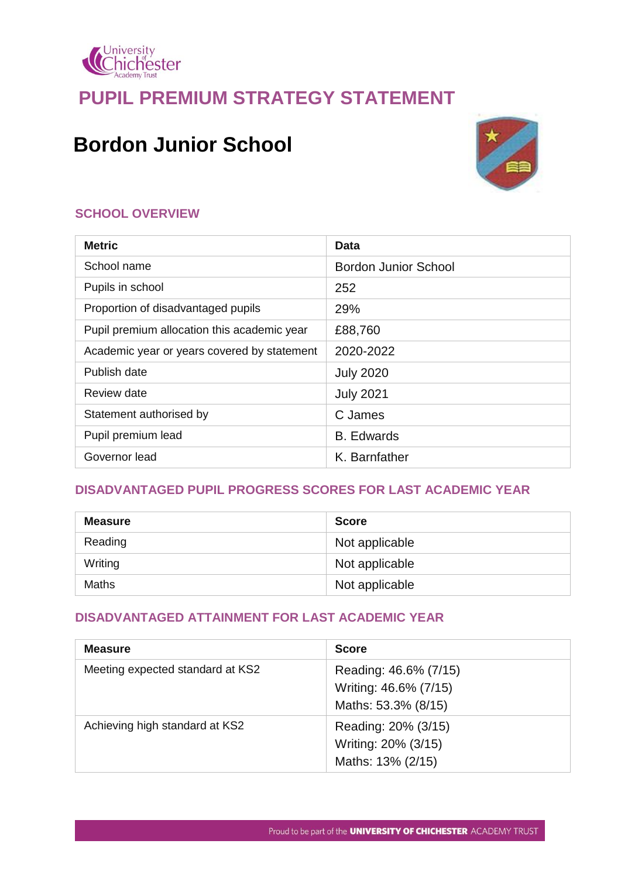

## **PUPIL PREMIUM STRATEGY STATEMENT**

# **Bordon Junior School**



## **SCHOOL OVERVIEW**

| <b>Metric</b>                               | Data                        |
|---------------------------------------------|-----------------------------|
| School name                                 | <b>Bordon Junior School</b> |
| Pupils in school                            | 252                         |
| Proportion of disadvantaged pupils          | 29%                         |
| Pupil premium allocation this academic year | £88,760                     |
| Academic year or years covered by statement | 2020-2022                   |
| Publish date                                | <b>July 2020</b>            |
| Review date                                 | <b>July 2021</b>            |
| Statement authorised by                     | C James                     |
| Pupil premium lead                          | <b>B.</b> Edwards           |
| Governor lead                               | K. Barnfather               |

## **DISADVANTAGED PUPIL PROGRESS SCORES FOR LAST ACADEMIC YEAR**

| <b>Measure</b> | <b>Score</b>   |
|----------------|----------------|
| Reading        | Not applicable |
| Writing        | Not applicable |
| Maths          | Not applicable |

## **DISADVANTAGED ATTAINMENT FOR LAST ACADEMIC YEAR**

| <b>Measure</b>                   | <b>Score</b>                                                          |
|----------------------------------|-----------------------------------------------------------------------|
| Meeting expected standard at KS2 | Reading: 46.6% (7/15)<br>Writing: 46.6% (7/15)<br>Maths: 53.3% (8/15) |
| Achieving high standard at KS2   | Reading: 20% (3/15)<br>Writing: 20% (3/15)<br>Maths: 13% (2/15)       |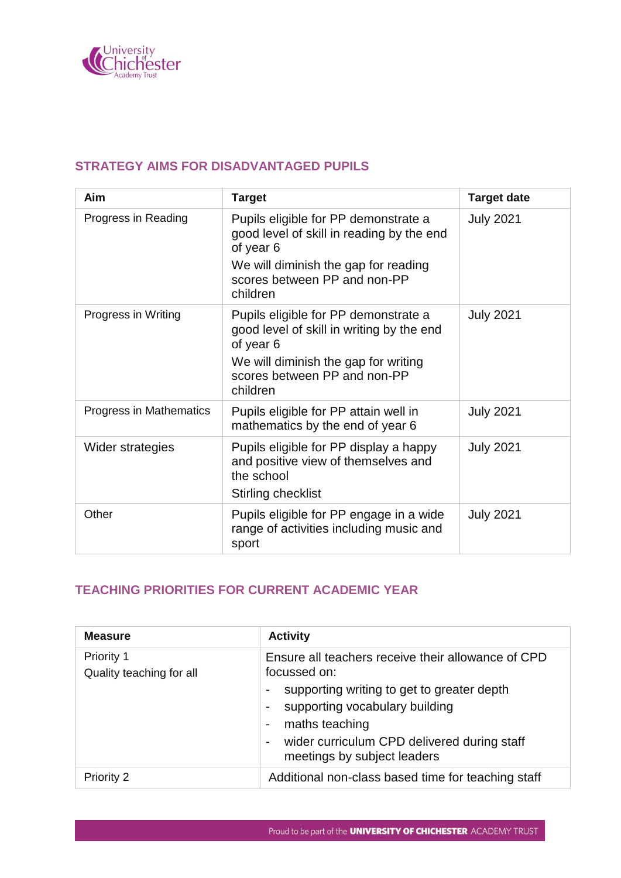

#### **STRATEGY AIMS FOR DISADVANTAGED PUPILS**

| Aim                     | <b>Target</b>                                                                                                                                                                      | <b>Target date</b> |
|-------------------------|------------------------------------------------------------------------------------------------------------------------------------------------------------------------------------|--------------------|
| Progress in Reading     | Pupils eligible for PP demonstrate a<br>good level of skill in reading by the end<br>of year 6<br>We will diminish the gap for reading<br>scores between PP and non-PP<br>children | <b>July 2021</b>   |
| Progress in Writing     | Pupils eligible for PP demonstrate a<br>good level of skill in writing by the end<br>of year 6<br>We will diminish the gap for writing<br>scores between PP and non-PP<br>children | <b>July 2021</b>   |
| Progress in Mathematics | Pupils eligible for PP attain well in<br>mathematics by the end of year 6                                                                                                          | <b>July 2021</b>   |
| Wider strategies        | Pupils eligible for PP display a happy<br>and positive view of themselves and<br>the school<br>Stirling checklist                                                                  | <b>July 2021</b>   |
| Other                   | Pupils eligible for PP engage in a wide<br>range of activities including music and<br>sport                                                                                        | <b>July 2021</b>   |

## **TEACHING PRIORITIES FOR CURRENT ACADEMIC YEAR**

| <b>Measure</b>                         | <b>Activity</b>                                                                                                                                                                                                                                    |
|----------------------------------------|----------------------------------------------------------------------------------------------------------------------------------------------------------------------------------------------------------------------------------------------------|
| Priority 1<br>Quality teaching for all | Ensure all teachers receive their allowance of CPD<br>focussed on:<br>supporting writing to get to greater depth<br>supporting vocabulary building<br>maths teaching<br>wider curriculum CPD delivered during staff<br>meetings by subject leaders |
| <b>Priority 2</b>                      | Additional non-class based time for teaching staff                                                                                                                                                                                                 |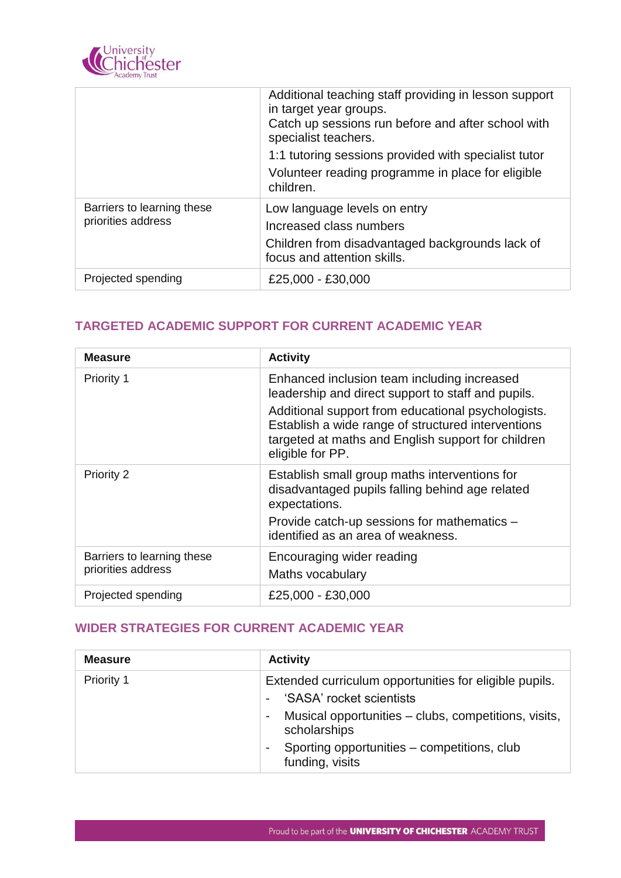

|                                                  | Additional teaching staff providing in lesson support<br>in target year groups.<br>Catch up sessions run before and after school with<br>specialist teachers.<br>1:1 tutoring sessions provided with specialist tutor<br>Volunteer reading programme in place for eligible<br>children. |
|--------------------------------------------------|-----------------------------------------------------------------------------------------------------------------------------------------------------------------------------------------------------------------------------------------------------------------------------------------|
| Barriers to learning these<br>priorities address | Low language levels on entry<br>Increased class numbers<br>Children from disadvantaged backgrounds lack of<br>focus and attention skills.                                                                                                                                               |
| Projected spending                               | £25,000 - £30,000                                                                                                                                                                                                                                                                       |

### **TARGETED ACADEMIC SUPPORT FOR CURRENT ACADEMIC YEAR**

| <b>Measure</b>                                   | <b>Activity</b>                                                                                                                                                                                                                                                                         |
|--------------------------------------------------|-----------------------------------------------------------------------------------------------------------------------------------------------------------------------------------------------------------------------------------------------------------------------------------------|
| Priority 1                                       | Enhanced inclusion team including increased<br>leadership and direct support to staff and pupils.<br>Additional support from educational psychologists.<br>Establish a wide range of structured interventions<br>targeted at maths and English support for children<br>eligible for PP. |
| Priority 2                                       | Establish small group maths interventions for<br>disadvantaged pupils falling behind age related<br>expectations.<br>Provide catch-up sessions for mathematics -<br>identified as an area of weakness.                                                                                  |
| Barriers to learning these<br>priorities address | Encouraging wider reading<br>Maths vocabulary                                                                                                                                                                                                                                           |
| Projected spending                               | £25,000 - £30,000                                                                                                                                                                                                                                                                       |

#### **WIDER STRATEGIES FOR CURRENT ACADEMIC YEAR**

| <b>Measure</b> | <b>Activity</b>                                                                                                                                                                                                                        |
|----------------|----------------------------------------------------------------------------------------------------------------------------------------------------------------------------------------------------------------------------------------|
| Priority 1     | Extended curriculum opportunities for eligible pupils.<br>'SASA' rocket scientists<br>Musical opportunities - clubs, competitions, visits,<br>٠<br>scholarships<br>Sporting opportunities – competitions, club<br>۰<br>funding, visits |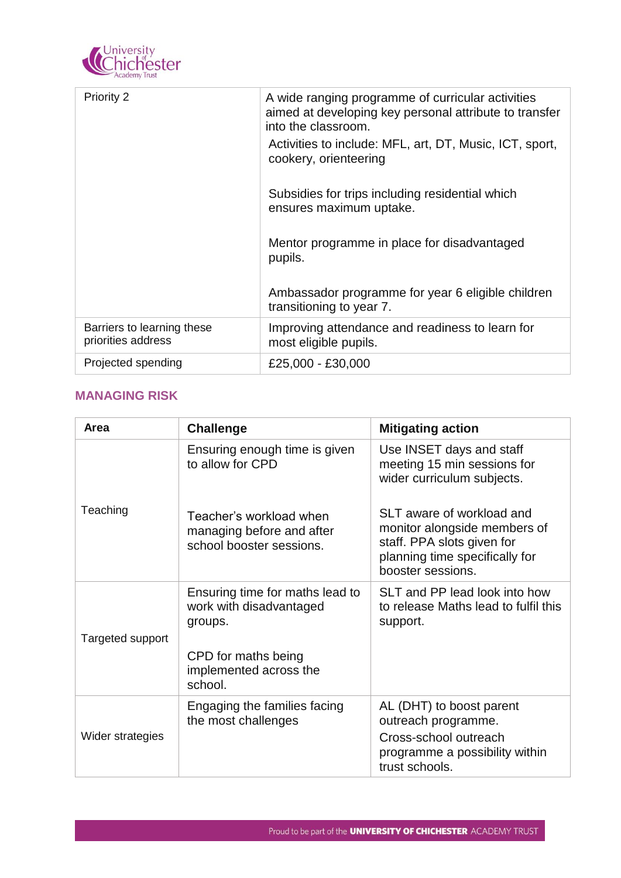

| <b>Priority 2</b>                                | A wide ranging programme of curricular activities<br>aimed at developing key personal attribute to transfer<br>into the classroom. |
|--------------------------------------------------|------------------------------------------------------------------------------------------------------------------------------------|
|                                                  | Activities to include: MFL, art, DT, Music, ICT, sport,<br>cookery, orienteering                                                   |
|                                                  | Subsidies for trips including residential which<br>ensures maximum uptake.                                                         |
|                                                  | Mentor programme in place for disadvantaged<br>pupils.                                                                             |
|                                                  | Ambassador programme for year 6 eligible children<br>transitioning to year 7.                                                      |
| Barriers to learning these<br>priorities address | Improving attendance and readiness to learn for<br>most eligible pupils.                                                           |
| Projected spending                               | £25,000 - £30,000                                                                                                                  |

#### **MANAGING RISK**

| Area             | <b>Challenge</b>                                                                 | <b>Mitigating action</b>                                                                                                                       |
|------------------|----------------------------------------------------------------------------------|------------------------------------------------------------------------------------------------------------------------------------------------|
|                  | Ensuring enough time is given<br>to allow for CPD                                | Use INSET days and staff<br>meeting 15 min sessions for<br>wider curriculum subjects.                                                          |
| Teaching         | Teacher's workload when<br>managing before and after<br>school booster sessions. | SLT aware of workload and<br>monitor alongside members of<br>staff. PPA slots given for<br>planning time specifically for<br>booster sessions. |
| Targeted support | Ensuring time for maths lead to<br>work with disadvantaged<br>groups.            | SLT and PP lead look into how<br>to release Maths lead to fulfil this<br>support.                                                              |
|                  | CPD for maths being<br>implemented across the<br>school.                         |                                                                                                                                                |
| Wider strategies | Engaging the families facing<br>the most challenges                              | AL (DHT) to boost parent<br>outreach programme.<br>Cross-school outreach<br>programme a possibility within<br>trust schools.                   |